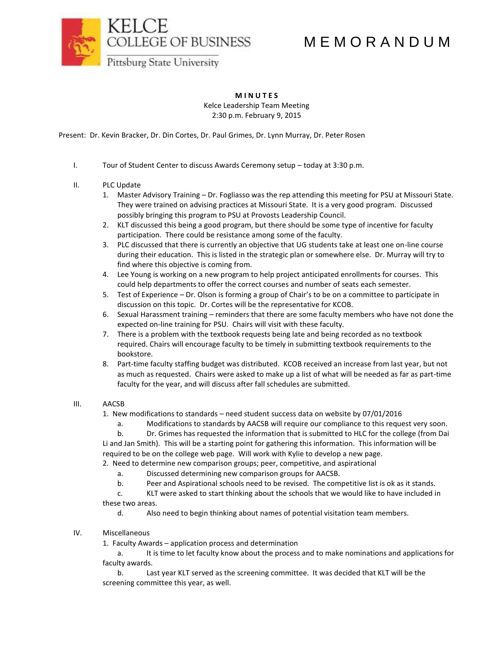M E M O R A N D U M



**M I N U T E S** Kelce Leadership Team Meeting 2:30 p.m. February 9, 2015

Present: Dr. Kevin Bracker, Dr. Din Cortes, Dr. Paul Grimes, Dr. Lynn Murray, Dr. Peter Rosen

I. Tour of Student Center to discuss Awards Ceremony setup – today at 3:30 p.m.

## II. PLC Update

- 1. Master Advisory Training Dr. Fogliasso was the rep attending this meeting for PSU at Missouri State. They were trained on advising practices at Missouri State. It is a very good program. Discussed possibly bringing this program to PSU at Provosts Leadership Council.
- 2. KLT discussed this being a good program, but there should be some type of incentive for faculty participation. There could be resistance among some of the faculty.
- 3. PLC discussed that there is currently an objective that UG students take at least one on-line course during their education. This is listed in the strategic plan or somewhere else. Dr. Murray will try to find where this objective is coming from.
- 4. Lee Young is working on a new program to help project anticipated enrollments for courses. This could help departments to offer the correct courses and number of seats each semester.
- 5. Test of Experience Dr. Olson is forming a group of Chair's to be on a committee to participate in discussion on this topic. Dr. Cortes will be the representative for KCOB.
- 6. Sexual Harassment training reminders that there are some faculty members who have not done the expected on-line training for PSU. Chairs will visit with these faculty.
- 7. There is a problem with the textbook requests being late and being recorded as no textbook required. Chairs will encourage faculty to be timely in submitting textbook requirements to the bookstore.
- 8. Part-time faculty staffing budget was distributed. KCOB received an increase from last year, but not as much as requested. Chairs were asked to make up a list of what will be needed as far as part-time faculty for the year, and will discuss after fall schedules are submitted.

## III. AACSB

1. New modifications to standards – need student success data on website by 07/01/2016

a. Modifications to standards by AACSB will require our compliance to this request very soon.

b. Dr. Grimes has requested the information that is submitted to HLC for the college (from Dai Li and Jan Smith). This will be a starting point for gathering this information. This information will be required to be on the college web page. Will work with Kylie to develop a new page.

2. Need to determine new comparison groups; peer, competitive, and aspirational

- a. Discussed determining new comparison groups for AACSB.
- b. Peer and Aspirational schools need to be revised. The competitive list is ok as it stands.

c. KLT were asked to start thinking about the schools that we would like to have included in these two areas.

- d. Also need to begin thinking about names of potential visitation team members.
- IV. Miscellaneous

1. Faculty Awards – application process and determination

a. It is time to let faculty know about the process and to make nominations and applications for faculty awards.

b. Last year KLT served as the screening committee. It was decided that KLT will be the screening committee this year, as well.